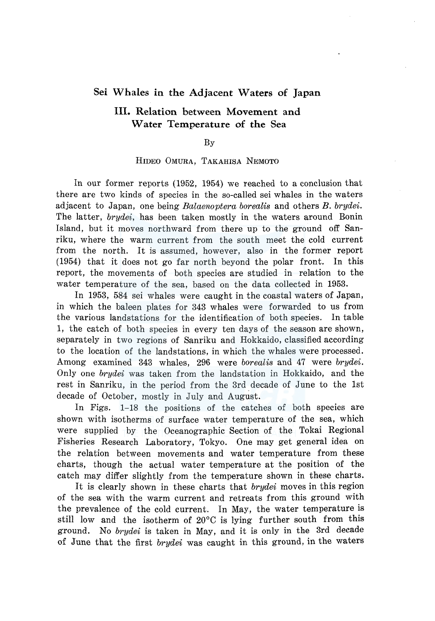## **Sei Whales in the Adjacent Waters of Japan**

## III. **Relation** between **Movement and Water Temperature of the** Sea

### By

### HIDEO OMURA, TAKAHISA NEMOTO

In our former reports (1952, 1954) we reached to a conclusion that there are two kinds of species in the so-called sei whales in the waters adjacent to Japan, one being *Balaenoptera borealis* and others *B. brydei.*  The latter, *brydei,* has been taken mostly in the waters around Bonin Island, but it moves northward from there up to the ground off Sanriku, where the warm current from the south meet the cold current from the north. It is assumed, however, also in the former report (1954) that it does not go far north beyond the polar front. In this report, the movements of both species are studied in relation to the water temperature of the sea, based on the data collected in 1953.

In 1953, 584 sei whales were caught in the coastal waters of Japan, in which the baleen plates for 343 whales were forwarded to us from the various landstations for the identification of both species. In table 1, the catch of both species in every ten days of the season are shown, separately in two regions of Sanriku and Hokkaido, classified according to the location of the landstations, in which the whales were processed. Among examined 343 whales, 296 were *borealis* and 47 were *brydei.*  Only one *brydei* was taken from the landstation in Hokkaido, and the rest in Sanriku, in the period from the 3rd decade of June to the lst decade of October, mostly in July and August.

In Figs. 1-18 the positions of the catches of both species are shown with isotherms of surface water temperature of the sea, which were supplied by the Oceanographic Section of the Tokai Regional Fisheries Research Laboratory, Tokyo. One may get general idea on the relation between movements and water temperature from these charts, though the actual water temperature at the position of the catch may differ slightly from the temperature shown in these charts.

It is clearly shown in these charts that *brydei* moves in this region of the sea with the warm current and retreats from this ground with the prevalence of the cold current. In May, the water temperature is still low and the isotherm of 20°C is lying further south from this ground. No *brydei* is taken *in* May, and it is only in the 3rd decade of June that the first *brydei* was caught in this ground, in the waters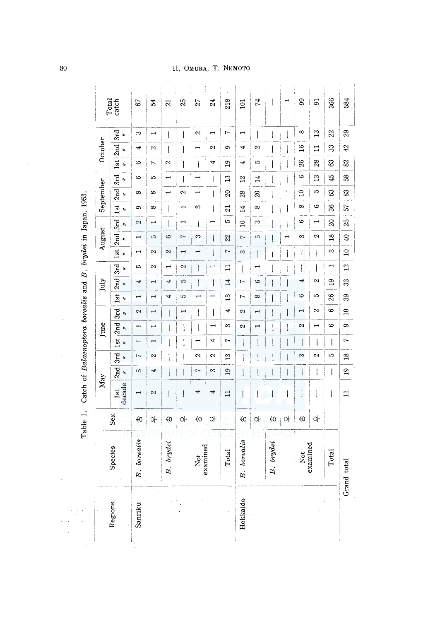|          |                          | Table 1.          | Catch of Balaenoptera borealis and B. brydei in Japan, 1953. |                                 |                             |                                    |                                    |                          |                                    |                                 |                       |                                                            |                       |                      |                          |                      |                      |                                        |                   |                                 |       |
|----------|--------------------------|-------------------|--------------------------------------------------------------|---------------------------------|-----------------------------|------------------------------------|------------------------------------|--------------------------|------------------------------------|---------------------------------|-----------------------|------------------------------------------------------------|-----------------------|----------------------|--------------------------|----------------------|----------------------|----------------------------------------|-------------------|---------------------------------|-------|
|          |                          |                   | May                                                          |                                 |                             |                                    | June                               |                          |                                    | July                            |                       |                                                            | August                |                      |                          | September            |                      |                                        | October           |                                 | Total |
| Regions  | Species                  | Sex               | decade<br>1st                                                | 2nd<br>$\overline{\phantom{a}}$ | 3rd<br>$\ddot{\phantom{0}}$ | <b>Ist</b><br>$\ddot{\phantom{0}}$ | $2nd$ 3rd<br>$\tilde{\phantom{a}}$ | $\overline{\phantom{a}}$ | <b>1st</b><br>$\ddot{\phantom{a}}$ | 2nd 3rd<br>$\ddot{\phantom{0}}$ | $\ddot{\phantom{0}}$  | $1st$  2nd   3rd   1st   2nd   3rd<br>$\ddot{\phantom{0}}$ | $\ddot{\phantom{0}}$  | $\ddot{\phantom{0}}$ | t,                       | $\ddot{\phantom{0}}$ | $\ddot{\phantom{0}}$ | <b>lst</b><br>$\overline{\phantom{a}}$ | 2nd<br>b.         | 3rd<br>$\overline{\phantom{a}}$ | catch |
| Sanriku  | borealis<br>$\ddot{B}$ . | $\Leftrightarrow$ |                                                              | 5                               | 7                           | $\overline{\phantom{0}}$           | $\overline{\phantom{0}}$           | 2                        | Ē                                  | 4                               | 5                     | $\overline{ }$                                             | $\mathbf{\mathbf{H}}$ | 2                    | ô                        | $\infty$             | $\circ$              | $\ddot{\circ}$                         | 4                 | S                               | 53    |
|          |                          | 아                 | $\mathbf{\Omega}$                                            | 4                               | 2                           | $\overline{\phantom{0}}$           |                                    | $\overline{\phantom{0}}$ | $\blacksquare$                     | $\overline{\phantom{0}}$        | Z                     | $\mathbf{a}$                                               | S                     | $\overline{ }$       | $\infty$                 | ∞                    | Ъ                    | Z                                      | Z                 | $\overline{\phantom{0}}$        | 54    |
|          | brydei<br>R.             | $\Leftrightarrow$ | $\overline{\phantom{a}}$                                     | l                               |                             | l                                  |                                    | I                        | 4                                  | 4                               | ⊣                     | $\mathbf{\Omega}$                                          | 6                     |                      | $\overline{\phantom{a}}$ |                      | $\overline{ }$       | $\sim$                                 | $\mathbf{l}$      |                                 | ಷ     |
|          |                          | 아                 | $\overline{\phantom{a}}$                                     | I                               | ļ                           | $\mathfrak l$                      | 1                                  | $\overline{\cdot}$       | 5                                  | Ю                               | 2                     | $\overline{\phantom{0}}$                                   | 7                     | $\overline{ }$       |                          | 2                    |                      |                                        |                   | $\hspace{0.02in} \pmb{\mid}$    | 25    |
|          | examined<br>Not          | $\Leftrightarrow$ | 4                                                            | 7                               | $\mathbf{\hat{z}}$          |                                    |                                    | I                        | $\mathbf{\mathbf{r}}$              | l                               |                       | $\overline{ }$                                             | $\infty$              |                      | S                        |                      | $\mathbf{+}$         |                                        |                   | $\mathbf{\Omega}$               | 27    |
|          |                          | 아                 | 4                                                            | S                               | $\mathbf{\Omega}$           | 4                                  | H                                  | l                        |                                    | $\mathsf{l}$                    | $\mathbf{\mathbf{r}}$ | ĺ                                                          | I                     | ⊣                    | I                        |                      | ł                    | 4                                      | $\sim$            | $\overline{\phantom{0}}$        | 24    |
|          | Total                    |                   | $\mathbf{1}$                                                 | $\overline{19}$                 | 53                          | 1                                  | S                                  | 4                        | $\mathfrak{D}$                     | 14                              | $\Xi$                 | 2                                                          | 22                    | မာ                   | $\overline{21}$          | $\infty$             | $\frac{1}{2}$        | $\mathbf{5}$                           | Ó                 | Ņ                               | 218   |
| Hokkaido | borealis<br>$\mathbf{z}$ | $\Leftrightarrow$ | $\mathbf{I}$                                                 | $\mathbf{I}$                    |                             | I                                  | $\sim$                             | 2                        | 1                                  | 7                               |                       | S                                                          | $\overline{ }$        | $\overline{a}$       | $\overline{14}$          | $\frac{8}{28}$       | $\overline{5}$       | 4                                      | 4                 | $\overline{ }$                  | 101   |
|          |                          | 아                 | I                                                            |                                 |                             | ۱                                  |                                    | $\overline{\phantom{0}}$ | $\infty$                           | 6                               |                       |                                                            | LO                    | S                    | $\infty$                 | $\overline{20}$      | 14                   | Ю                                      | $\mathbf{\Omega}$ |                                 | 74    |
|          | brydei<br>$\ddot{a}$     | $\Leftrightarrow$ |                                                              |                                 |                             |                                    |                                    |                          |                                    |                                 |                       |                                                            |                       |                      |                          |                      |                      |                                        |                   |                                 |       |
|          |                          | 아                 | l                                                            | I                               |                             | I                                  |                                    |                          |                                    |                                 |                       |                                                            |                       |                      |                          |                      |                      |                                        |                   |                                 |       |
|          | Not<br>examined          | $\Leftrightarrow$ | Į                                                            | $\overline{\phantom{a}}$        | က                           | Į                                  | $\sim$                             | $\mathbf{\mathbf{t}}$    | G                                  | 4                               |                       |                                                            | S                     | ဖ                    | $\infty$                 | $\Xi$                | G                    | $\frac{8}{2}$                          | $\overline{16}$   | $\infty$                        | 99    |
|          |                          | 아                 | $\overline{\phantom{a}}$                                     | l                               | 2                           | I                                  | ⊣                                  | $\mathbf{\alpha}$        | LO                                 | 2                               |                       |                                                            | 2                     |                      | 6                        | LΩ                   | $\mathbf{r}$         | 28                                     | $\mathbf{1}$      | $\mathbb{C}$                    | 51    |
|          | Total                    |                   | $\mathbf{I}$                                                 | $\overline{\phantom{a}}$        | 5                           | l                                  | 6                                  | 6                        | $\frac{8}{2}$                      | 19                              |                       | S                                                          | $\frac{8}{10}$        | $\infty$             | 36                       | ස                    | 45                   | 63                                     | 33                | 22                              | 366   |
|          | Grand total              |                   | $\Xi$                                                        | $\overline{19}$                 | 18                          | 7                                  | ō,                                 | $\overline{10}$          | 39                                 | $\mathfrak{B}$                  | $\frac{2}{2}$         | $\overline{a}$                                             | $\overline{40}$       | 25                   | 57 83                    |                      | $\overline{58}$      | 82                                     | $\overline{42}$   | 29                              | 584   |

 $80^{\degree}$ 

l,

 $\bar{z}$ 

 $\epsilon_{\rm eff}$  :  $\frac{1}{2}$  ,  $\frac{1}{2}$ 

# H, OMURA, T. NEMOTO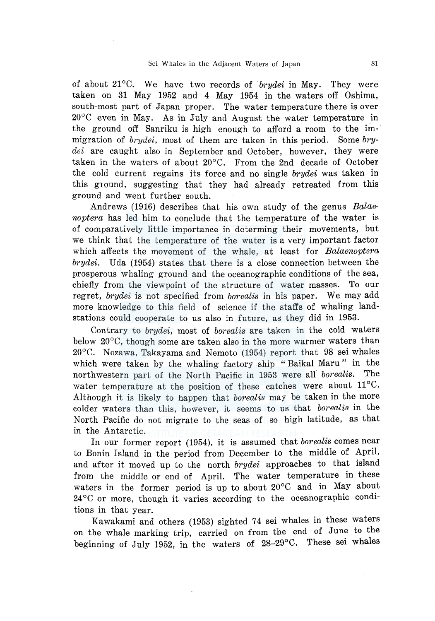of about 21°C. We have two records of *brydei* in May. They were taken on 31 May 1952 and 4 May 1954 in the waters off Oshima, south-most part of Japan proper. The water temperature there is over 20°C even in May. As in July and August the water temperature in the ground off Sanriku is high enough to afford a room to the immigration of *brydei,* most of them are taken in this period. Some *brydei* are caught also in September and October, however, they were taken in the waters of about  $20^{\circ}$ C. From the 2nd decade of October the cold current regains its force and no single *brydei* was taken in this g1ound, suggesting that they had already retreated from this ground and went further south.

Andrews (1916) describes that his own study of the genus *Balaenoptera* has led him to conclude that the temperature of the water is of comparatively little importance in determing their movements, but we think that the temperature of the water is a very important factor which affects the movement of the whale, at least for *Balaenoptera brydei.* Uda (1954) states that there is a close connection between the prosperous whaling ground and the oceanographic conditions of the sea, chiefly from the viewpoint of the structure of water masses. To our regret, *brydei* is not specified from *borealis* in his paper. We may add more knowledge to this field of science if the staffs of whaling landstations could cooperate to us also in future, as they did in 1953.

Contrary to *brydei,* most of *borealis* are taken in the cold waters below 20°C, though some are taken also in the more warmer waters than 20°C. Nozawa, Takayama and Nemoto (1954) report that 98 sei whales which were taken by the whaling factory ship "Baikal Maru" in the northwestern part of the North Pacific in 1953 were all *borealis.* The water temperature at the position of these catches were about 11°C. Although it is likely to happen that *borealis* may be taken in the more colder waters than this, however, it seems to us that *borealis* in the North Pacific do not migrate to the seas of so high latitude, as that in the Antarctic.

In our former report (1954), it is assumed that *borealis* comes near to Bonin Island in the period from December to the middle of April, and after it moved up to the north *brydei* approaches to that island from the middle or end of April. The water temperature in these waters in the former period is up to about 20°C and in May about 24 °C or more, though it varies according to the oceanographic conditions in that year.

Kawakami and others (1953) sighted 74 sei whales in these waters on the whale marking trip, carried on from the end of June to the beginning of July 1952, in the waters of 28-29°C. These sei whales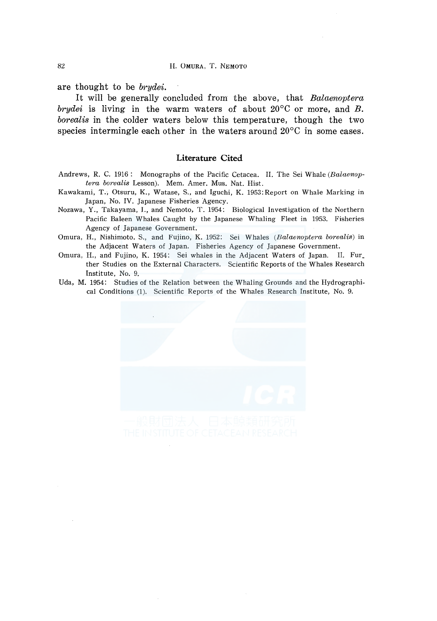are thought to be *brydei.* 

It will be generally concluded from the above, that *Balaenoptera brydei* is living in the warm waters of about 20°C or more, and *B. borealis* in the colder waters below this temperature, though the two species intermingle each other in the waters around  $20^{\circ}$ C in some cases.

#### **Literature Cited**

- Andrews, R. C. 1916: Monographs of the Pacific Cetacea. II. The Sei Whale *(Balaenop*tera borealis Lesson). Mem. Amer. Mus. Nat. Hist.
- Kawakami, T.; Otsuru, K., Watase, S., and Iguchi, K. 1953:Report on Whale Marking in Japan, No. IV. Japanese Fisheries Agency.
- Nozawa, Y., Takayama, I., and Nemoto, T. 1954: Biological Investigation of the Northern Pacific Baleen Whales Caught by the Japanese Whaling Fleet in 1953. Fisheries Agency of Japanese Government.
- Omura, H., Nishimoto. S., and Fujino, K. 1952: Sei Whales *(Balaenoptera borealis)* in the Adjacent Waters of Japan. Fisheries Agency of Japanese Government.
- Omura, H., and Fujino, K. 1954: Sei whales in the Adjacent Waters of Japan. II. Fur\_ ther Studies on the External Characters. Scientific Reports of the Whales Research Institute, No. 9.
- Uda, M. 1954: Studies of the Relation between the Whaling Grounds and the Hydrographical Conditions (1). Scientific Reports of the Whales Research Institute, No. 9.

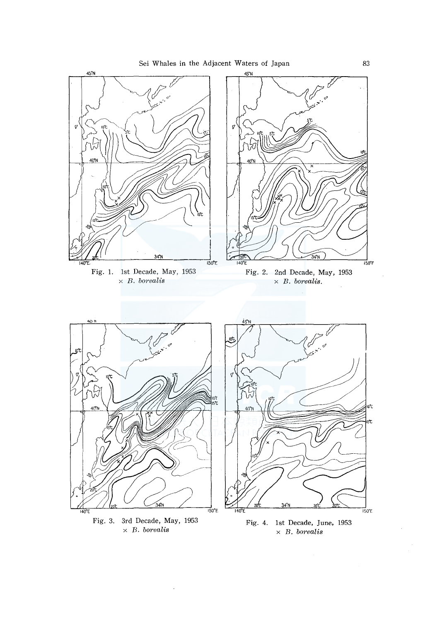

 $\times$   $\,$  B.  $borealis$ 

 $\bar{.}$ 

Fig. 4. 1st Decade, June, 1953  $\times$  B. borealis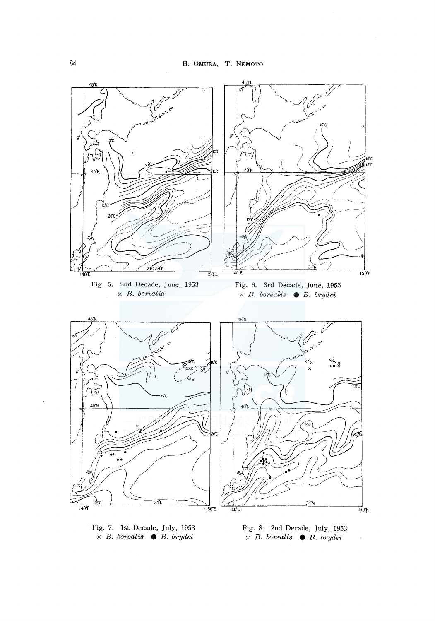

Fig. 7. 1st Decade, July, 1953 x *B. borealis* • *B. brydei* 

Fig. 8. 2nd Decade, July, 1953 x *B. borealis* • *B. brydei* 

 $\hat{\boldsymbol{\beta}}$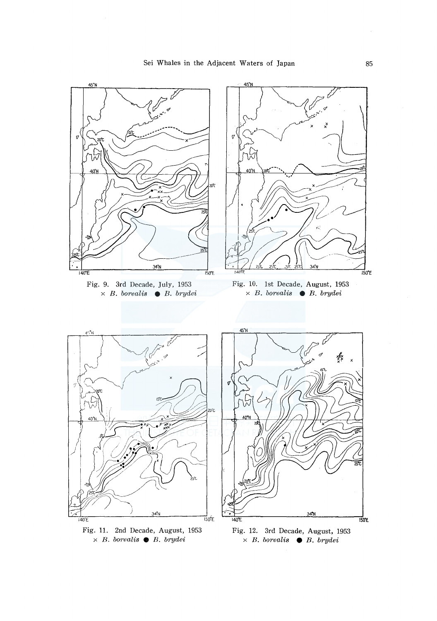

Fig. 11. 2nd Decade, August, 1953 x *B. borealis* e *B. brydei* 

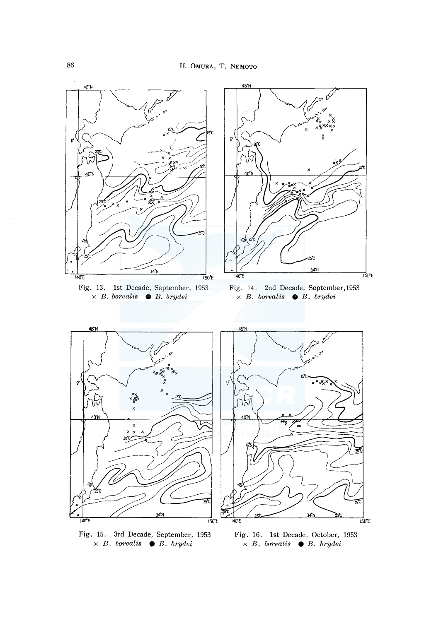

<sup>x</sup>*B. borealis* **e** *B. brydei*